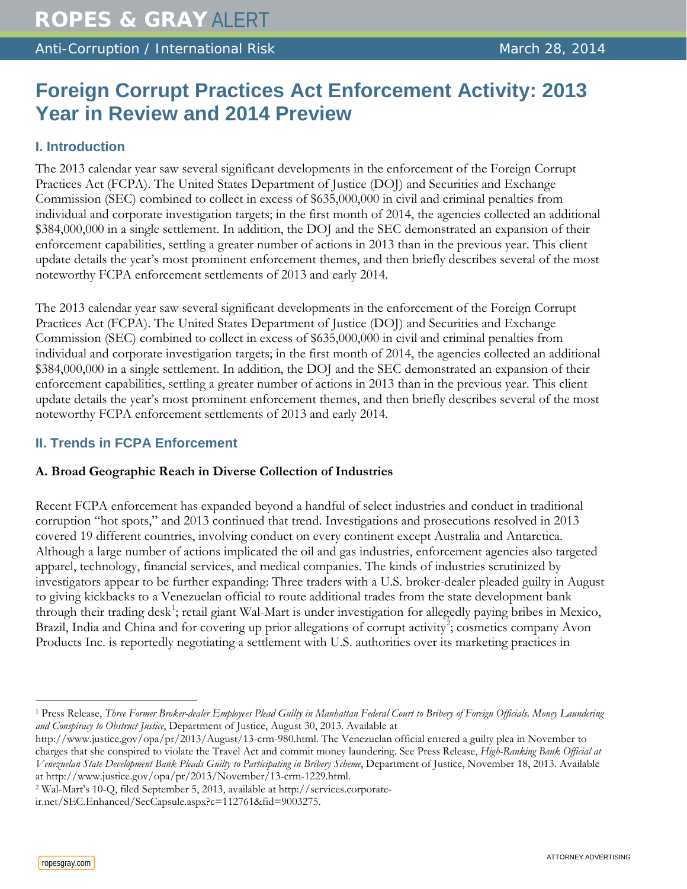Anti-Corruption / International Risk March 28, 2014

# **Foreign Corrupt Practices Act Enforcement Activity: 2013 Year in Review and 2014 Preview**

# **I. Introduction**

The 2013 calendar year saw several significant developments in the enforcement of the Foreign Corrupt Practices Act (FCPA). The United States Department of Justice (DOJ) and Securities and Exchange Commission (SEC) combined to collect in excess of \$635,000,000 in civil and criminal penalties from individual and corporate investigation targets; in the first month of 2014, the agencies collected an additional \$384,000,000 in a single settlement. In addition, the DOJ and the SEC demonstrated an expansion of their enforcement capabilities, settling a greater number of actions in 2013 than in the previous year. This client update details the year's most prominent enforcement themes, and then briefly describes several of the most noteworthy FCPA enforcement settlements of 2013 and early 2014.

The 2013 calendar year saw several significant developments in the enforcement of the Foreign Corrupt Practices Act (FCPA). The United States Department of Justice (DOJ) and Securities and Exchange Commission (SEC) combined to collect in excess of \$635,000,000 in civil and criminal penalties from individual and corporate investigation targets; in the first month of 2014, the agencies collected an additional \$384,000,000 in a single settlement. In addition, the DOJ and the SEC demonstrated an expansion of their enforcement capabilities, settling a greater number of actions in 2013 than in the previous year. This client update details the year's most prominent enforcement themes, and then briefly describes several of the most noteworthy FCPA enforcement settlements of 2013 and early 2014.

# **II. Trends in FCPA Enforcement**

# **A. Broad Geographic Reach in Diverse Collection of Industries**

Recent FCPA enforcement has expanded beyond a handful of select industries and conduct in traditional corruption "hot spots," and 2013 continued that trend. Investigations and prosecutions resolved in 2013 covered 19 different countries, involving conduct on every continent except Australia and Antarctica. Although a large number of actions implicated the oil and gas industries, enforcement agencies also targeted apparel, technology, financial services, and medical companies. The kinds of industries scrutinized by investigators appear to be further expanding: Three traders with a U.S. broker-dealer pleaded guilty in August to giving kickbacks to a Venezuelan official to route additional trades from the state development bank through their trading desk<sup>[1](#page-0-0)</sup>; retail giant Wal-Mart is under investigation for allegedly paying bribes in Mexico, Brazil, India and China and for covering up prior allegations of corrupt activity<sup>[2](#page-0-1)</sup>; cosmetics company Avon Products Inc. is reportedly negotiating a settlement with U.S. authorities over its marketing practices in

ropesgray.com

<span id="page-0-0"></span> $\overline{a}$ <sup>1</sup> Press Release, *Three Former Broker-dealer Employees Plead Guilty in Manhattan Federal Court to Bribery of Foreign Officials, Money Laundering and Conspiracy to Obstruct Justice*, Department of Justice, August 30, 2013. Available at

http://www.justice.gov/opa/pr/2013/August/13-crm-980.html. The Venezuelan official entered a guilty plea in November to charges that she conspired to violate the Travel Act and commit money laundering. See Press Release, *High-Ranking Bank Official at Venezuelan State Development Bank Pleads Guilty to Participating in Bribery Scheme*, Department of Justice, November 18, 2013. Available at http://www.justice.gov/opa/pr/2013/November/13-crm-1229.html.

<span id="page-0-1"></span><sup>2</sup> Wal-Mart's 10-Q, filed September 5, 2013, available at http://services.corporateir.net/SEC.Enhanced/SecCapsule.aspx?c=112761&fid=9003275.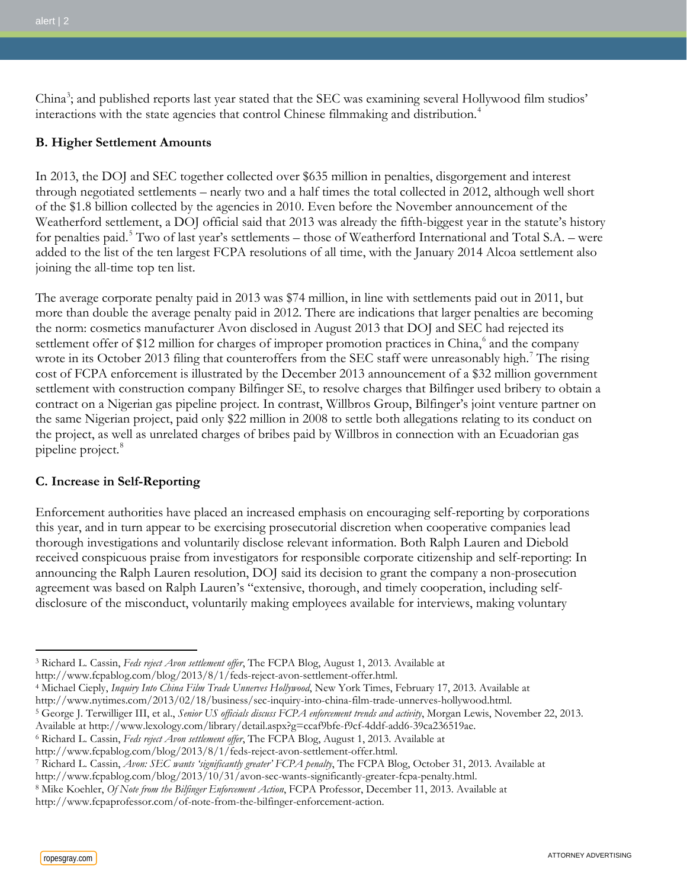China<sup>[3](#page-1-0)</sup>; and published reports last year stated that the SEC was examining several Hollywood film studios' interactions with the state agencies that control Chinese filmmaking and distribution.<sup>[4](#page-1-1)</sup>

## **B. Higher Settlement Amounts**

In 2013, the DOJ and SEC together collected over \$635 million in penalties, disgorgement and interest through negotiated settlements – nearly two and a half times the total collected in 2012, although well short of the \$1.8 billion collected by the agencies in 2010. Even before the November announcement of the Weatherford settlement, a DOJ official said that 2013 was already the fifth-biggest year in the statute's history for penalties paid.<sup>[5](#page-1-2)</sup> Two of last year's settlements – those of Weatherford International and Total S.A. – were added to the list of the ten largest FCPA resolutions of all time, with the January 2014 Alcoa settlement also joining the all-time top ten list.

The average corporate penalty paid in 2013 was \$74 million, in line with settlements paid out in 2011, but more than double the average penalty paid in 2012. There are indications that larger penalties are becoming the norm: cosmetics manufacturer Avon disclosed in August 2013 that DOJ and SEC had rejected its settlement offer of \$12 million for charges of improper promotion practices in China,<sup>[6](#page-1-3)</sup> and the company wrote in its October 2013 filing that counteroffers from the SEC staff were unreasonably high.<sup>[7](#page-1-4)</sup> The rising cost of FCPA enforcement is illustrated by the December 2013 announcement of a \$32 million government settlement with construction company Bilfinger SE, to resolve charges that Bilfinger used bribery to obtain a contract on a Nigerian gas pipeline project. In contrast, Willbros Group, Bilfinger's joint venture partner on the same Nigerian project, paid only \$22 million in 2008 to settle both allegations relating to its conduct on the project, as well as unrelated charges of bribes paid by Willbros in connection with an Ecuadorian gas pipeline project.<sup>[8](#page-1-5)</sup>

## **C. Increase in Self-Reporting**

Enforcement authorities have placed an increased emphasis on encouraging self-reporting by corporations this year, and in turn appear to be exercising prosecutorial discretion when cooperative companies lead thorough investigations and voluntarily disclose relevant information. Both Ralph Lauren and Diebold received conspicuous praise from investigators for responsible corporate citizenship and self-reporting: In announcing the Ralph Lauren resolution, DOJ said its decision to grant the company a non-prosecution agreement was based on Ralph Lauren's "extensive, thorough, and timely cooperation, including selfdisclosure of the misconduct, voluntarily making employees available for interviews, making voluntary

<span id="page-1-0"></span> $\overline{a}$ <sup>3</sup> Richard L. Cassin, *Feds reject Avon settlement offer*, The FCPA Blog, August 1, 2013. Available at

http://www.fcpablog.com/blog/2013/8/1/feds-reject-avon-settlement-offer.html.

<span id="page-1-1"></span><sup>4</sup> Michael Cieply, *Inquiry Into China Film Trade Unnerves Hollywood*, New York Times, February 17, 2013. Available at

http://www.nytimes.com/2013/02/18/business/sec-inquiry-into-china-film-trade-unnerves-hollywood.html.

<span id="page-1-2"></span><sup>5</sup> George J. Terwilliger III, et al., *Senior US officials discuss FCPA enforcement trends and activity*, Morgan Lewis, November 22, 2013.

Available at http://www.lexology.com/library/detail.aspx?g=ccaf9bfe-f9cf-4ddf-add6-39ca236519ae.

<span id="page-1-3"></span><sup>6</sup> Richard L. Cassin, *Feds reject Avon settlement offer*, The FCPA Blog, August 1, 2013. Available at

http://www.fcpablog.com/blog/2013/8/1/feds-reject-avon-settlement-offer.html.

<span id="page-1-4"></span><sup>7</sup> Richard L. Cassin, *Avon: SEC wants 'significantly greater' FCPA penalty*, The FCPA Blog, October 31, 2013. Available at

http://www.fcpablog.com/blog/2013/10/31/avon-sec-wants-significantly-greater-fcpa-penalty.html.

<span id="page-1-5"></span><sup>8</sup> Mike Koehler, *Of Note from the Bilfinger Enforcement Action*, FCPA Professor, December 11, 2013. Available at http://www.fcpaprofessor.com/of-note-from-the-bilfinger-enforcement-action.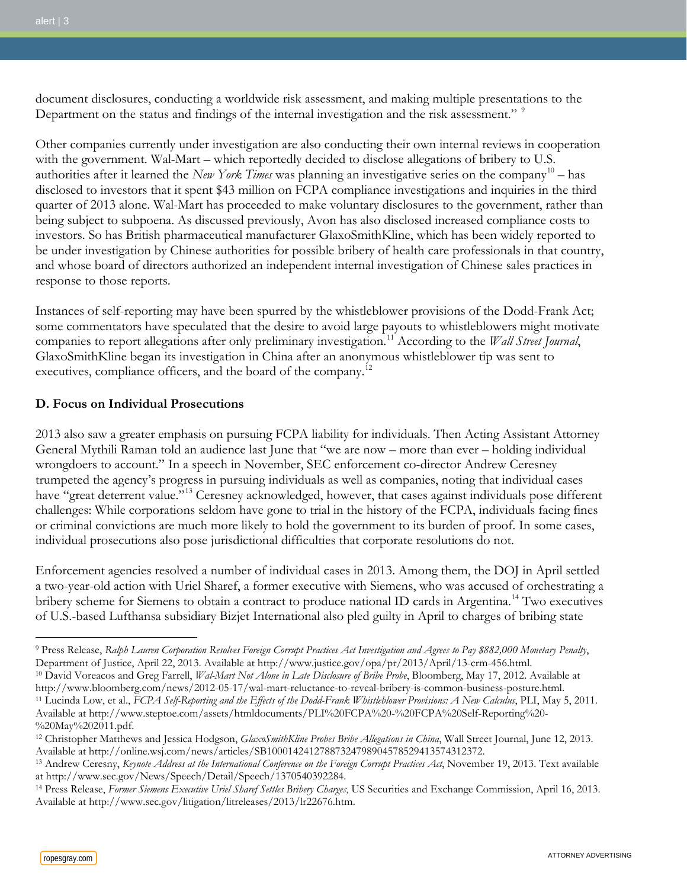document disclosures, conducting a worldwide risk assessment, and making multiple presentations to the Department on the status and findings of the internal investigation and the risk assessment." <sup>[9](#page-2-0)</sup>

Other companies currently under investigation are also conducting their own internal reviews in cooperation with the government. Wal-Mart – which reportedly decided to disclose allegations of bribery to U.S. authorities after it learned the *New York Times* was planning an investigative series on the company<sup>[10](#page-2-1)</sup> – has disclosed to investors that it spent \$43 million on FCPA compliance investigations and inquiries in the third quarter of 2013 alone. Wal-Mart has proceeded to make voluntary disclosures to the government, rather than being subject to subpoena. As discussed previously, Avon has also disclosed increased compliance costs to investors. So has British pharmaceutical manufacturer GlaxoSmithKline, which has been widely reported to be under investigation by Chinese authorities for possible bribery of health care professionals in that country, and whose board of directors authorized an independent internal investigation of Chinese sales practices in response to those reports.

Instances of self-reporting may have been spurred by the whistleblower provisions of the Dodd-Frank Act; some commentators have speculated that the desire to avoid large payouts to whistleblowers might motivate companies to report allegations after only preliminary investigation.<sup>[11](#page-2-2)</sup> According to the *Wall Street Journal*, GlaxoSmithKline began its investigation in China after an anonymous whistleblower tip was sent to executives, compliance officers, and the board of the company.<sup>12</sup>

#### **D. Focus on Individual Prosecutions**

2013 also saw a greater emphasis on pursuing FCPA liability for individuals. Then Acting Assistant Attorney General Mythili Raman told an audience last June that "we are now – more than ever – holding individual wrongdoers to account." In a speech in November, SEC enforcement co-director Andrew Ceresney trumpeted the agency's progress in pursuing individuals as well as companies, noting that individual cases have "great deterrent value."<sup>[13](#page-2-4)</sup> Ceresney acknowledged, however, that cases against individuals pose different challenges: While corporations seldom have gone to trial in the history of the FCPA, individuals facing fines or criminal convictions are much more likely to hold the government to its burden of proof. In some cases, individual prosecutions also pose jurisdictional difficulties that corporate resolutions do not.

Enforcement agencies resolved a number of individual cases in 2013. Among them, the DOJ in April settled a two-year-old action with Uriel Sharef, a former executive with Siemens, who was accused of orchestrating a bribery scheme for Siemens to obtain a contract to produce national ID cards in Argentina.<sup>[14](#page-2-5)</sup> Two executives of U.S.-based Lufthansa subsidiary Bizjet International also pled guilty in April to charges of bribing state

<span id="page-2-0"></span><sup>9</sup> Press Release, *Ralph Lauren Corporation Resolves Foreign Corrupt Practices Act Investigation and Agrees to Pay \$882,000 Monetary Penalty*, Department of Justice, April 22, 2013. Available at http://www.justice.gov/opa/pr/2013/April/13-crm-456.html. <sup>10</sup> David Voreacos and Greg Farrell, *Wal-Mart Not Alone in Late Disclosure of Bribe Probe*, Bloomberg, May 17, 2012. Available at

<span id="page-2-2"></span><span id="page-2-1"></span>http://www.bloomberg.com/news/2012-05-17/wal-mart-reluctance-to-reveal-bribery-is-common-business-posture.html. <sup>11</sup> Lucinda Low, et al., *FCPA Self-Reporting and the Effects of the Dodd-Frank Whistleblower Provisions: A New Calculus*, PLI, May 5, 2011. Available at http://www.steptoe.com/assets/htmldocuments/PLI%20FCPA%20-%20FCPA%20Self-Reporting%20- %20May%202011.pdf.

<span id="page-2-3"></span><sup>12</sup> Christopher Matthews and Jessica Hodgson, *GlaxoSmithKline Probes Bribe Allegations in China*, Wall Street Journal, June 12, 2013. Available at http://online.wsj.com/news/articles/SB10001424127887324798904578529413574312372.

<span id="page-2-4"></span><sup>13</sup> Andrew Ceresny, *Keynote Address at the International Conference on the Foreign Corrupt Practices Act*, November 19, 2013. Text available at http://www.sec.gov/News/Speech/Detail/Speech/1370540392284.

<span id="page-2-5"></span><sup>14</sup> Press Release, *Former Siemens Executive Uriel Sharef Settles Bribery Charges*, US Securities and Exchange Commission, April 16, 2013. Available at http://www.sec.gov/litigation/litreleases/2013/lr22676.htm.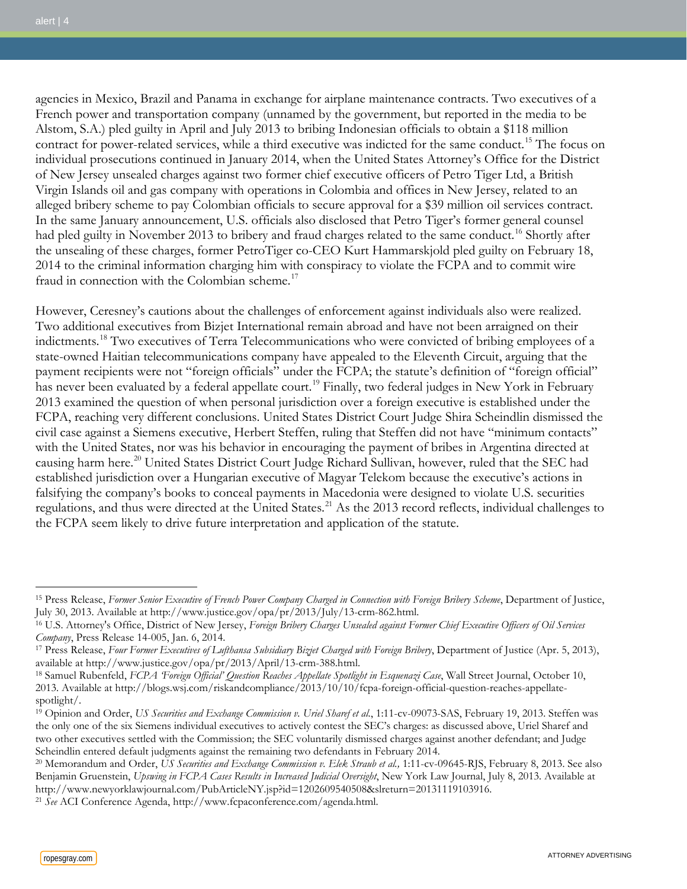agencies in Mexico, Brazil and Panama in exchange for airplane maintenance contracts. Two executives of a French power and transportation company (unnamed by the government, but reported in the media to be Alstom, S.A.) pled guilty in April and July 2013 to bribing Indonesian officials to obtain a \$118 million contract for power-related services, while a third executive was indicted for the same conduct.<sup>[15](#page-3-0)</sup> The focus on individual prosecutions continued in January 2014, when the United States Attorney's Office for the District of New Jersey unsealed charges against two former chief executive officers of Petro Tiger Ltd, a British Virgin Islands oil and gas company with operations in Colombia and offices in New Jersey, related to an alleged bribery scheme to pay Colombian officials to secure approval for a \$39 million oil services contract. In the same January announcement, U.S. officials also disclosed that Petro Tiger's former general counsel had pled guilty in November 2013 to bribery and fraud charges related to the same conduct.<sup>[16](#page-3-1)</sup> Shortly after the unsealing of these charges, former PetroTiger co-CEO Kurt Hammarskjold pled guilty on February 18, 2014 to the criminal information charging him with conspiracy to violate the FCPA and to commit wire fraud in connection with the Colombian scheme.<sup>[17](#page-3-2)</sup>

However, Ceresney's cautions about the challenges of enforcement against individuals also were realized. Two additional executives from Bizjet International remain abroad and have not been arraigned on their indictments.[18](#page-3-3) Two executives of Terra Telecommunications who were convicted of bribing employees of a state-owned Haitian telecommunications company have appealed to the Eleventh Circuit, arguing that the payment recipients were not "foreign officials" under the FCPA; the statute's definition of "foreign official" has never been evaluated by a federal appellate court.<sup>[19](#page-3-4)</sup> Finally, two federal judges in New York in February 2013 examined the question of when personal jurisdiction over a foreign executive is established under the FCPA, reaching very different conclusions. United States District Court Judge Shira Scheindlin dismissed the civil case against a Siemens executive, Herbert Steffen, ruling that Steffen did not have "minimum contacts" with the United States, nor was his behavior in encouraging the payment of bribes in Argentina directed at causing harm here.<sup>20</sup> United States District Court Judge Richard Sullivan, however, ruled that the SEC had established jurisdiction over a Hungarian executive of Magyar Telekom because the executive's actions in falsifying the company's books to conceal payments in Macedonia were designed to violate U.S. securities regulations, and thus were directed at the United States.<sup>[21](#page-3-6)</sup> As the 2013 record reflects, individual challenges to the FCPA seem likely to drive future interpretation and application of the statute.

<span id="page-3-0"></span><sup>15</sup> Press Release, *Former Senior Executive of French Power Company Charged in Connection with Foreign Bribery Scheme*, Department of Justice, July 30, 2013. Available at http://www.justice.gov/opa/pr/2013/July/13-crm-862.html.

<span id="page-3-1"></span><sup>16</sup> U.S. Attorney's Office, District of New Jersey, *Foreign Bribery Charges Unsealed against Former Chief Executive Officers of Oil Services Company*, Press Release 14-005, Jan. 6, 2014.

<span id="page-3-2"></span><sup>17</sup> Press Release, *Four Former Executives of Lufthansa Subsidiary Bizjet Charged with Foreign Bribery*, Department of Justice (Apr. 5, 2013), available at http://www.justice.gov/opa/pr/2013/April/13-crm-388.html.

<span id="page-3-3"></span><sup>18</sup> Samuel Rubenfeld, *FCPA 'Foreign Official' Question Reaches Appellate Spotlight in Esquenazi Case*, Wall Street Journal, October 10, 2013. Available at http://blogs.wsj.com/riskandcompliance/2013/10/10/fcpa-foreign-official-question-reaches-appellatespotlight/.

<span id="page-3-4"></span><sup>&</sup>lt;sup>19</sup> Opinion and Order, *US Securities and Exchange Commission v. Uriel Sharef et al.*, 1:11-cv-09073-SAS, February 19, 2013. Steffen was the only one of the six Siemens individual executives to actively contest the SEC's charges: as discussed above, Uriel Sharef and two other executives settled with the Commission; the SEC voluntarily dismissed charges against another defendant; and Judge Scheindlin entered default judgments against the remaining two defendants in February 2014.

<span id="page-3-5"></span><sup>&</sup>lt;sup>20</sup> Memorandum and Order, *US Securities and Exchange Commission v. Elek Straub et al.*, 1:11-cv-09645-RJS, February 8, 2013. See also Benjamin Gruenstein, *Upswing in FCPA Cases Results in Increased Judicial Oversight*, New York Law Journal, July 8, 2013. Available at http://www.newyorklawjournal.com/PubArticleNY.jsp?id=1202609540508&slreturn=20131119103916.

<span id="page-3-6"></span><sup>21</sup> *See* ACI Conference Agenda, http://www.fcpaconference.com/agenda.html.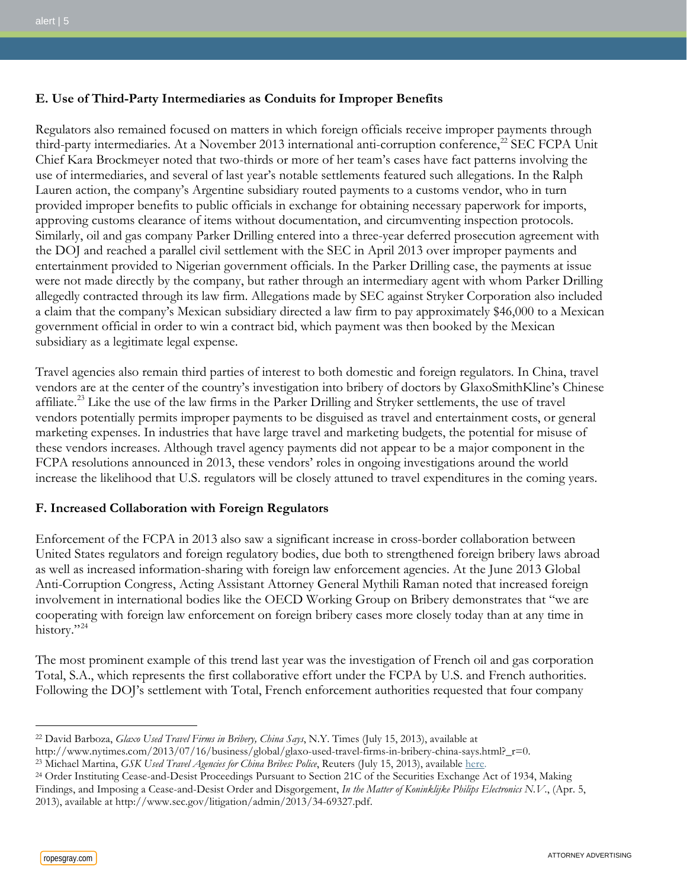# **E. Use of Third-Party Intermediaries as Conduits for Improper Benefits**

Regulators also remained focused on matters in which foreign officials receive improper payments through third-party intermediaries. At a November 2013 international anti-corruption conference,<sup>[22](#page-4-0)</sup> SEC FCPA Unit Chief Kara Brockmeyer noted that two-thirds or more of her team's cases have fact patterns involving the use of intermediaries, and several of last year's notable settlements featured such allegations. In the Ralph Lauren action, the company's Argentine subsidiary routed payments to a customs vendor, who in turn provided improper benefits to public officials in exchange for obtaining necessary paperwork for imports, approving customs clearance of items without documentation, and circumventing inspection protocols. Similarly, oil and gas company Parker Drilling entered into a three-year deferred prosecution agreement with the DOJ and reached a parallel civil settlement with the SEC in April 2013 over improper payments and entertainment provided to Nigerian government officials. In the Parker Drilling case, the payments at issue were not made directly by the company, but rather through an intermediary agent with whom Parker Drilling allegedly contracted through its law firm. Allegations made by SEC against Stryker Corporation also included a claim that the company's Mexican subsidiary directed a law firm to pay approximately \$46,000 to a Mexican government official in order to win a contract bid, which payment was then booked by the Mexican subsidiary as a legitimate legal expense.

Travel agencies also remain third parties of interest to both domestic and foreign regulators. In China, travel vendors are at the center of the country's investigation into bribery of doctors by GlaxoSmithKline's Chinese affiliate.[23](#page-4-1) Like the use of the law firms in the Parker Drilling and Stryker settlements, the use of travel vendors potentially permits improper payments to be disguised as travel and entertainment costs, or general marketing expenses. In industries that have large travel and marketing budgets, the potential for misuse of these vendors increases. Although travel agency payments did not appear to be a major component in the FCPA resolutions announced in 2013, these vendors' roles in ongoing investigations around the world increase the likelihood that U.S. regulators will be closely attuned to travel expenditures in the coming years.

## **F. Increased Collaboration with Foreign Regulators**

Enforcement of the FCPA in 2013 also saw a significant increase in cross-border collaboration between United States regulators and foreign regulatory bodies, due both to strengthened foreign bribery laws abroad as well as increased information-sharing with foreign law enforcement agencies. At the June 2013 Global Anti-Corruption Congress, Acting Assistant Attorney General Mythili Raman noted that increased foreign involvement in international bodies like the OECD Working Group on Bribery demonstrates that "we are cooperating with foreign law enforcement on foreign bribery cases more closely today than at any time in history."<sup>[24](#page-4-2)</sup>

The most prominent example of this trend last year was the investigation of French oil and gas corporation Total, S.A., which represents the first collaborative effort under the FCPA by U.S. and French authorities. Following the DOJ's settlement with Total, French enforcement authorities requested that four company

 $\overline{a}$ <sup>22</sup> David Barboza, *Glaxo Used Travel Firms in Bribery, China Says*, N.Y. Times (July 15, 2013), available at

<span id="page-4-0"></span>http://www.nytimes.com/2013/07/16/business/global/glaxo-used-travel-firms-in-bribery-china-says.html?\_r=0.<br><sup>23</sup> Michael Martina, *GSK Used Travel Agencies for China Bribes: Police*, Reuters (July 15, 2013), available [here.](http://www.reuters.com/article/2013/07/15/us-gsk-china-idUSBRE96E02520130715)

<span id="page-4-1"></span>

<span id="page-4-2"></span><sup>&</sup>lt;sup>24</sup> Order Instituting Cease-and-Desist Proceedings Pursuant to Section 21C of the Securities Exchange Act of 1934, Making

Findings, and Imposing a Cease-and-Desist Order and Disgorgement, *In the Matter of Koninklijke Philips Electronics N.V.*, (Apr. 5,

<sup>2013),</sup> available at http://www.sec.gov/litigation/admin/2013/34-69327.pdf.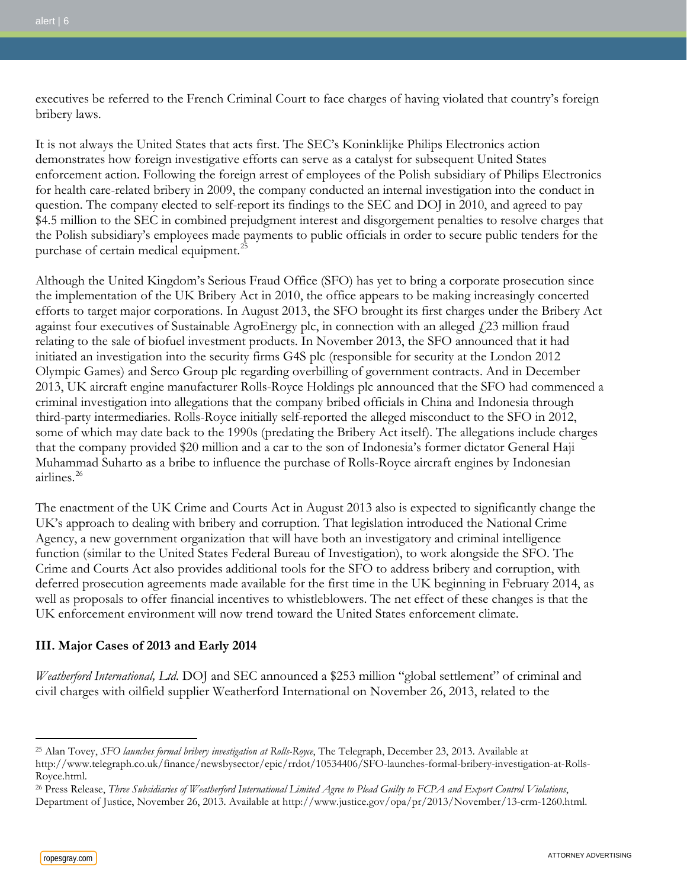executives be referred to the French Criminal Court to face charges of having violated that country's foreign bribery laws.

It is not always the United States that acts first. The SEC's Koninklijke Philips Electronics action demonstrates how foreign investigative efforts can serve as a catalyst for subsequent United States enforcement action. Following the foreign arrest of employees of the Polish subsidiary of Philips Electronics for health care-related bribery in 2009, the company conducted an internal investigation into the conduct in question. The company elected to self-report its findings to the SEC and DOJ in 2010, and agreed to pay \$4.5 million to the SEC in combined prejudgment interest and disgorgement penalties to resolve charges that the Polish subsidiary's employees made payments to public officials in order to secure public tenders for the purchase of certain medical equipment.<sup>25</sup>

Although the United Kingdom's Serious Fraud Office (SFO) has yet to bring a corporate prosecution since the implementation of the UK Bribery Act in 2010, the office appears to be making increasingly concerted efforts to target major corporations. In August 2013, the SFO brought its first charges under the Bribery Act against four executives of Sustainable AgroEnergy plc, in connection with an alleged  $f(23)$  million fraud relating to the sale of biofuel investment products. In November 2013, the SFO announced that it had initiated an investigation into the security firms G4S plc (responsible for security at the London 2012 Olympic Games) and Serco Group plc regarding overbilling of government contracts. And in December 2013, UK aircraft engine manufacturer Rolls-Royce Holdings plc announced that the SFO had commenced a criminal investigation into allegations that the company bribed officials in China and Indonesia through third-party intermediaries. Rolls-Royce initially self-reported the alleged misconduct to the SFO in 2012, some of which may date back to the 1990s (predating the Bribery Act itself). The allegations include charges that the company provided \$20 million and a car to the son of Indonesia's former dictator General Haji Muhammad Suharto as a bribe to influence the purchase of Rolls-Royce aircraft engines by Indonesian airlines.[26](#page-5-1)

The enactment of the UK Crime and Courts Act in August 2013 also is expected to significantly change the UK's approach to dealing with bribery and corruption. That legislation introduced the National Crime Agency, a new government organization that will have both an investigatory and criminal intelligence function (similar to the United States Federal Bureau of Investigation), to work alongside the SFO. The Crime and Courts Act also provides additional tools for the SFO to address bribery and corruption, with deferred prosecution agreements made available for the first time in the UK beginning in February 2014, as well as proposals to offer financial incentives to whistleblowers. The net effect of these changes is that the UK enforcement environment will now trend toward the United States enforcement climate.

## **III. Major Cases of 2013 and Early 2014**

*Weatherford International, Ltd.* DOJ and SEC announced a \$253 million "global settlement" of criminal and civil charges with oilfield supplier Weatherford International on November 26, 2013, related to the

 $\overline{a}$ <sup>25</sup> Alan Tovey, *SFO launches formal bribery investigation at Rolls-Royce*, The Telegraph, December 23, 2013. Available at

<span id="page-5-0"></span>http://www.telegraph.co.uk/finance/newsbysector/epic/rrdot/10534406/SFO-launches-formal-bribery-investigation-at-Rolls-Royce.html.

<span id="page-5-1"></span><sup>26</sup> Press Release, *Three Subsidiaries of Weatherford International Limited Agree to Plead Guilty to FCPA and Export Control Violations*, Department of Justice, November 26, 2013. Available at http://www.justice.gov/opa/pr/2013/November/13-crm-1260.html.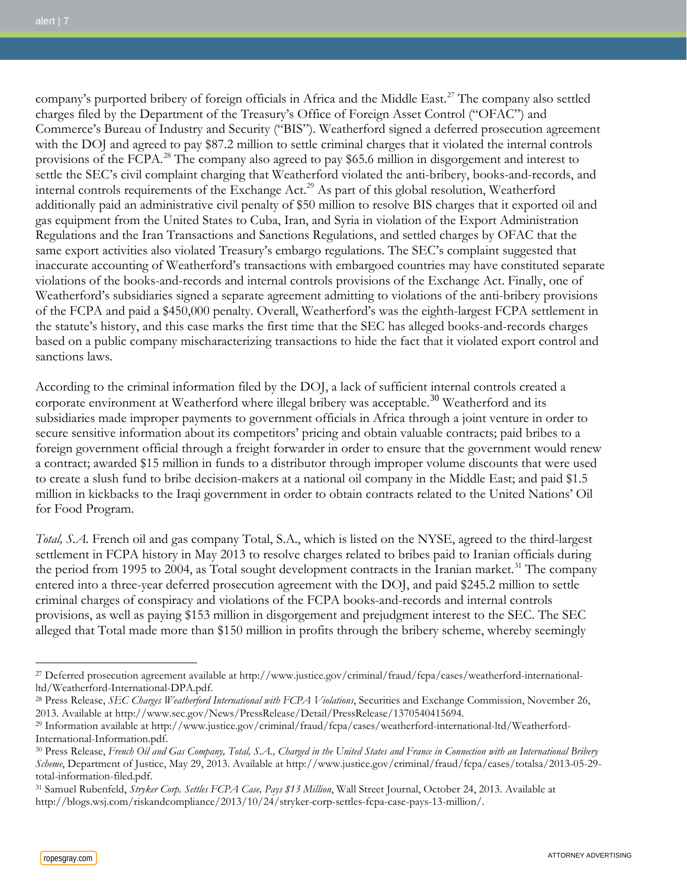company's purported bribery of foreign officials in Africa and the Middle East.<sup>[27](#page-6-0)</sup> The company also settled charges filed by the Department of the Treasury's Office of Foreign Asset Control ("OFAC") and Commerce's Bureau of Industry and Security ("BIS"). Weatherford signed a deferred prosecution agreement with the DOJ and agreed to pay \$87.2 million to settle criminal charges that it violated the internal controls provisions of the FCPA.<sup>[28](#page-6-1)</sup> The company also agreed to pay \$65.6 million in disgorgement and interest to settle the SEC's civil complaint charging that Weatherford violated the anti-bribery, books-and-records, and internal controls requirements of the Exchange Act.<sup>[29](#page-6-2)</sup> As part of this global resolution, Weatherford additionally paid an administrative civil penalty of \$50 million to resolve BIS charges that it exported oil and gas equipment from the United States to Cuba, Iran, and Syria in violation of the Export Administration Regulations and the Iran Transactions and Sanctions Regulations, and settled charges by OFAC that the same export activities also violated Treasury's embargo regulations. The SEC's complaint suggested that inaccurate accounting of Weatherford's transactions with embargoed countries may have constituted separate violations of the books-and-records and internal controls provisions of the Exchange Act. Finally, one of Weatherford's subsidiaries signed a separate agreement admitting to violations of the anti-bribery provisions of the FCPA and paid a \$450,000 penalty. Overall, Weatherford's was the eighth-largest FCPA settlement in the statute's history, and this case marks the first time that the SEC has alleged books-and-records charges based on a public company mischaracterizing transactions to hide the fact that it violated export control and sanctions laws.

According to the criminal information filed by the DOJ, a lack of sufficient internal controls created a corporate environment at Weatherford where illegal bribery was acceptable.<sup>[30](#page-6-3)</sup> Weatherford and its subsidiaries made improper payments to government officials in Africa through a joint venture in order to secure sensitive information about its competitors' pricing and obtain valuable contracts; paid bribes to a foreign government official through a freight forwarder in order to ensure that the government would renew a contract; awarded \$15 million in funds to a distributor through improper volume discounts that were used to create a slush fund to bribe decision-makers at a national oil company in the Middle East; and paid \$1.5 million in kickbacks to the Iraqi government in order to obtain contracts related to the United Nations' Oil for Food Program.

*Total, S.A.* French oil and gas company Total, S.A., which is listed on the NYSE, agreed to the third-largest settlement in FCPA history in May 2013 to resolve charges related to bribes paid to Iranian officials during the period from 1995 to 2004, as Total sought development contracts in the Iranian market.<sup>[31](#page-6-4)</sup> The company entered into a three-year deferred prosecution agreement with the DOJ, and paid \$245.2 million to settle criminal charges of conspiracy and violations of the FCPA books-and-records and internal controls provisions, as well as paying \$153 million in disgorgement and prejudgment interest to the SEC. The SEC alleged that Total made more than \$150 million in profits through the bribery scheme, whereby seemingly

<span id="page-6-0"></span><sup>27</sup> Deferred prosecution agreement available at http://www.justice.gov/criminal/fraud/fcpa/cases/weatherford-internationalltd/Weatherford-International-DPA.pdf.

<span id="page-6-1"></span><sup>28</sup> Press Release, *SEC Charges Weatherford International with FCPA Violations*, Securities and Exchange Commission, November 26, 2013. Available at http://www.sec.gov/News/PressRelease/Detail/PressRelease/1370540415694.

<span id="page-6-2"></span><sup>29</sup> Information available at http://www.justice.gov/criminal/fraud/fcpa/cases/weatherford-international-ltd/Weatherford-International-Information.pdf.

<span id="page-6-3"></span><sup>30</sup> Press Release, *French Oil and Gas Company, Total, S.A., Charged in the United States and France in Connection with an International Bribery Scheme*, Department of Justice, May 29, 2013. Available at http://www.justice.gov/criminal/fraud/fcpa/cases/totalsa/2013-05-29 total-information-filed.pdf.

<span id="page-6-4"></span><sup>31</sup> Samuel Rubenfeld, *Stryker Corp. Settles FCPA Case, Pays \$13 Million*, Wall Street Journal, October 24, 2013. Available at http://blogs.wsj.com/riskandcompliance/2013/10/24/stryker-corp-settles-fcpa-case-pays-13-million/.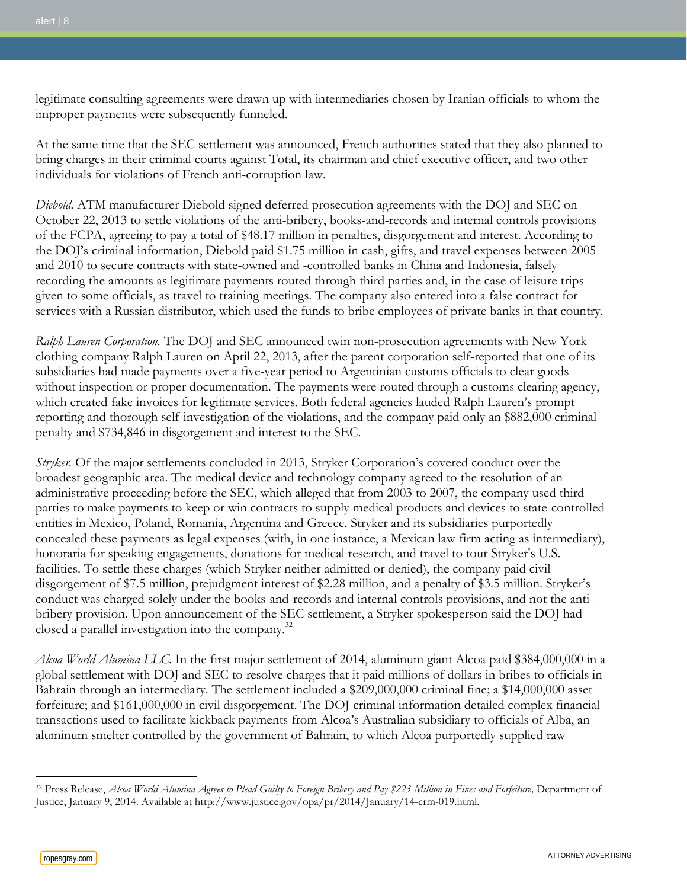legitimate consulting agreements were drawn up with intermediaries chosen by Iranian officials to whom the improper payments were subsequently funneled.

At the same time that the SEC settlement was announced, French authorities stated that they also planned to bring charges in their criminal courts against Total, its chairman and chief executive officer, and two other individuals for violations of French anti-corruption law.

*Diebold.* ATM manufacturer Diebold signed deferred prosecution agreements with the DOJ and SEC on October 22, 2013 to settle violations of the anti-bribery, books-and-records and internal controls provisions of the FCPA, agreeing to pay a total of \$48.17 million in penalties, disgorgement and interest. According to the DOJ's criminal information, Diebold paid \$1.75 million in cash, gifts, and travel expenses between 2005 and 2010 to secure contracts with state-owned and -controlled banks in China and Indonesia, falsely recording the amounts as legitimate payments routed through third parties and, in the case of leisure trips given to some officials, as travel to training meetings. The company also entered into a false contract for services with a Russian distributor, which used the funds to bribe employees of private banks in that country.

*Ralph Lauren Corporation.* The DOJ and SEC announced twin non-prosecution agreements with New York clothing company Ralph Lauren on April 22, 2013, after the parent corporation self-reported that one of its subsidiaries had made payments over a five-year period to Argentinian customs officials to clear goods without inspection or proper documentation. The payments were routed through a customs clearing agency, which created fake invoices for legitimate services. Both federal agencies lauded Ralph Lauren's prompt reporting and thorough self-investigation of the violations, and the company paid only an \$882,000 criminal penalty and \$734,846 in disgorgement and interest to the SEC.

*Stryker.* Of the major settlements concluded in 2013, Stryker Corporation's covered conduct over the broadest geographic area. The medical device and technology company agreed to the resolution of an administrative proceeding before the SEC, which alleged that from 2003 to 2007, the company used third parties to make payments to keep or win contracts to supply medical products and devices to state-controlled entities in Mexico, Poland, Romania, Argentina and Greece. Stryker and its subsidiaries purportedly concealed these payments as legal expenses (with, in one instance, a Mexican law firm acting as intermediary), honoraria for speaking engagements, donations for medical research, and travel to tour Stryker's U.S. facilities. To settle these charges (which Stryker neither admitted or denied), the company paid civil disgorgement of \$7.5 million, prejudgment interest of \$2.28 million, and a penalty of \$3.5 million. Stryker's conduct was charged solely under the books-and-records and internal controls provisions, and not the antibribery provision. Upon announcement of the SEC settlement, a Stryker spokesperson said the DOJ had closed a parallel investigation into the company[.32](#page-7-0)

*Alcoa World Alumina LLC.* In the first major settlement of 2014, aluminum giant Alcoa paid \$384,000,000 in a global settlement with DOJ and SEC to resolve charges that it paid millions of dollars in bribes to officials in Bahrain through an intermediary. The settlement included a \$209,000,000 criminal fine; a \$14,000,000 asset forfeiture; and \$161,000,000 in civil disgorgement. The DOJ criminal information detailed complex financial transactions used to facilitate kickback payments from Alcoa's Australian subsidiary to officials of Alba, an aluminum smelter controlled by the government of Bahrain, to which Alcoa purportedly supplied raw

<span id="page-7-0"></span><sup>&</sup>lt;sup>32</sup> Press Release, *Alcoa World Alumina Agrees to Plead Guilty to Foreign Bribery and Pay \$223 Million in Fines and Forfeiture*, Department of Justice, January 9, 2014. Available at http://www.justice.gov/opa/pr/2014/January/14-crm-019.html.